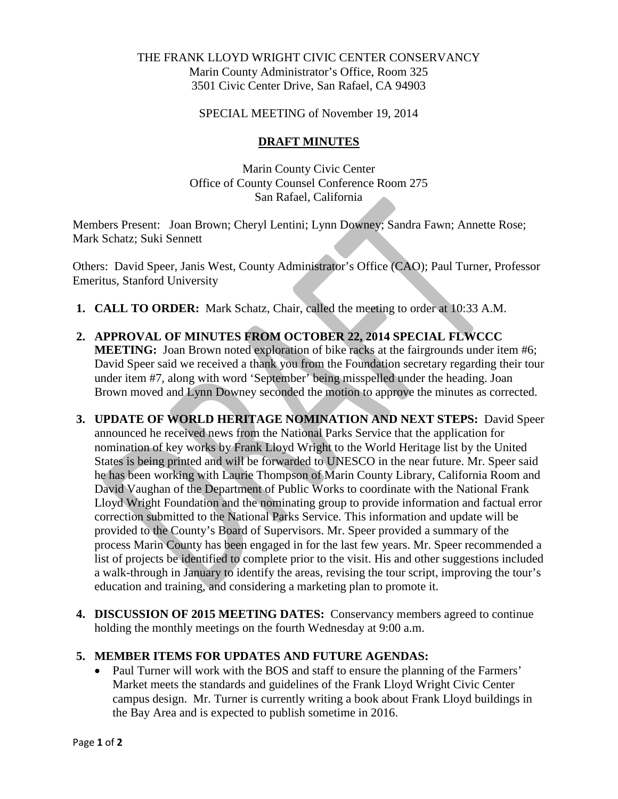## THE FRANK LLOYD WRIGHT CIVIC CENTER CONSERVANCY Marin County Administrator's Office, Room 325 3501 Civic Center Drive, San Rafael, CA 94903

SPECIAL MEETING of November 19, 2014

## **DRAFT MINUTES**

Marin County Civic Center Office of County Counsel Conference Room 275 San Rafael, California

Members Present: Joan Brown; Cheryl Lentini; Lynn Downey; Sandra Fawn; Annette Rose; Mark Schatz; Suki Sennett

Others: David Speer, Janis West, County Administrator's Office (CAO); Paul Turner, Professor Emeritus, Stanford University

- **1. CALL TO ORDER:** Mark Schatz, Chair, called the meeting to order at 10:33 A.M.
- **2. APPROVAL OF MINUTES FROM OCTOBER 22, 2014 SPECIAL FLWCCC MEETING:** Joan Brown noted exploration of bike racks at the fairgrounds under item #6; David Speer said we received a thank you from the Foundation secretary regarding their tour under item #7, along with word 'September' being misspelled under the heading. Joan Brown moved and Lynn Downey seconded the motion to approve the minutes as corrected.
- **3. UPDATE OF WORLD HERITAGE NOMINATION AND NEXT STEPS:** David Speer announced he received news from the National Parks Service that the application for nomination of key works by Frank Lloyd Wright to the World Heritage list by the United States is being printed and will be forwarded to UNESCO in the near future. Mr. Speer said he has been working with Laurie Thompson of Marin County Library, California Room and David Vaughan of the Department of Public Works to coordinate with the National Frank Lloyd Wright Foundation and the nominating group to provide information and factual error correction submitted to the National Parks Service. This information and update will be provided to the County's Board of Supervisors. Mr. Speer provided a summary of the process Marin County has been engaged in for the last few years. Mr. Speer recommended a list of projects be identified to complete prior to the visit. His and other suggestions included a walk-through in January to identify the areas, revising the tour script, improving the tour's education and training, and considering a marketing plan to promote it.
- **4. DISCUSSION OF 2015 MEETING DATES:** Conservancy members agreed to continue holding the monthly meetings on the fourth Wednesday at 9:00 a.m.

## **5. MEMBER ITEMS FOR UPDATES AND FUTURE AGENDAS:**

• Paul Turner will work with the BOS and staff to ensure the planning of the Farmers' Market meets the standards and guidelines of the Frank Lloyd Wright Civic Center campus design. Mr. Turner is currently writing a book about Frank Lloyd buildings in the Bay Area and is expected to publish sometime in 2016.